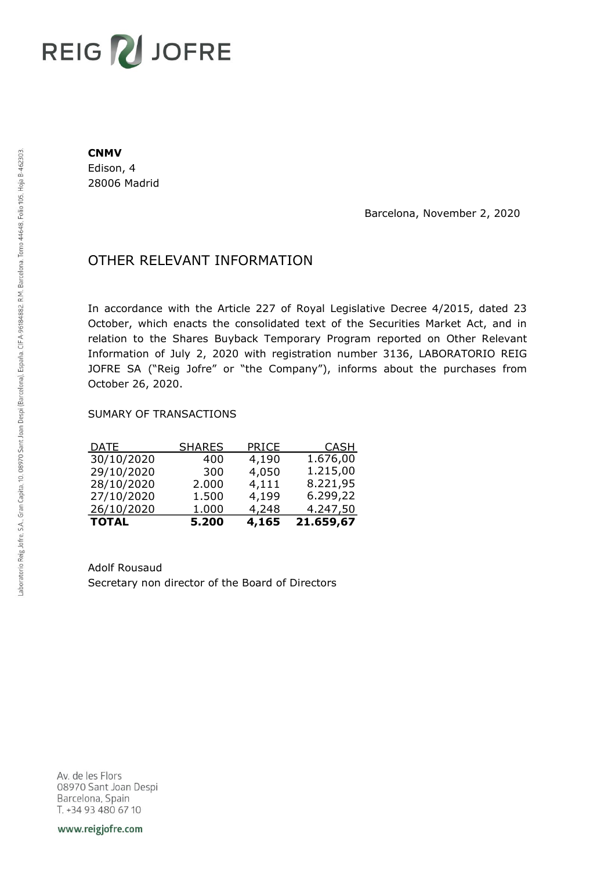# REIG V JOFRE

#### **CNMV**

Edison, 4 28006 Madrid

Barcelona, November 2, 2020

## OTHER RELEVANT INFORMATION

In accordance with the Article 227 of Royal Legislative Decree 4/2015, dated 23 October, which enacts the consolidated text of the Securities Market Act, and in relation to the Shares Buyback Temporary Program reported on Other Relevant Information of July 2, 2020 with registration number 3136, LABORATORIO REIG JOFRE SA ("Reig Jofre" or "the Company"), informs about the purchases from October 26, 2020.

### SUMARY OF TRANSACTIONS

| <b>TOTAL</b> | 5.200         | 4,165 | 21.659,67   |
|--------------|---------------|-------|-------------|
| 26/10/2020   | 1.000         | 4,248 | 4.247,50    |
| 27/10/2020   | 1.500         | 4,199 | 6.299,22    |
| 28/10/2020   | 2.000         | 4,111 | 8.221,95    |
| 29/10/2020   | 300           | 4,050 | 1.215,00    |
| 30/10/2020   | 400           | 4,190 | 1.676,00    |
| <u>DATE</u>  | <b>SHARES</b> | PRICE | <b>CASH</b> |

Adolf Rousaud Secretary non director of the Board of Directors

Av. de les Flors 08970 Sant Joan Despi Barcelona, Spain T. +34 93 480 67 10

www.reigjofre.com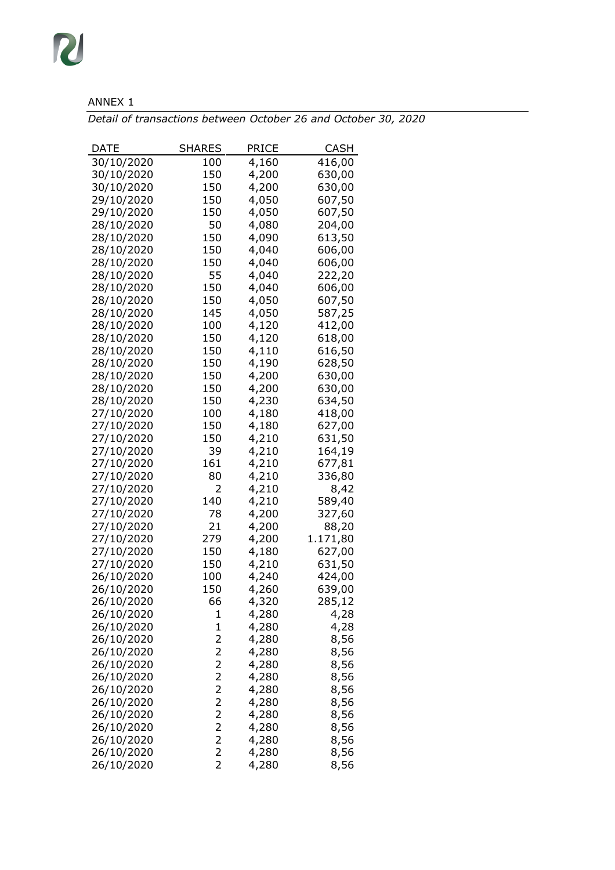## ANNEX 1

*Detail of transactions between October 26 and October 30, 2020*

| DATE                     | SHARES                                    | PRICE          | CASH         |
|--------------------------|-------------------------------------------|----------------|--------------|
| 30/10/2020               | 100                                       | 4,160          | 416,00       |
| 30/10/2020               | 150                                       | 4,200          | 630,00       |
| 30/10/2020               | 150                                       | 4,200          | 630,00       |
| 29/10/2020               | 150                                       | 4,050          | 607,50       |
| 29/10/2020               | 150                                       | 4,050          | 607,50       |
| 28/10/2020               | 50                                        | 4,080          | 204,00       |
| 28/10/2020               | 150                                       | 4,090          | 613,50       |
| 28/10/2020               | 150                                       | 4,040          | 606,00       |
| 28/10/2020               | 150                                       | 4,040          | 606,00       |
| 28/10/2020               | 55                                        | 4,040          | 222,20       |
| 28/10/2020               | 150                                       | 4,040          | 606,00       |
| 28/10/2020               | 150                                       | 4,050          | 607,50       |
| 28/10/2020               | 145                                       | 4,050          | 587,25       |
| 28/10/2020               | 100                                       | 4,120          | 412,00       |
| 28/10/2020               | 150                                       | 4,120          | 618,00       |
| 28/10/2020               | 150                                       | 4,110          | 616,50       |
| 28/10/2020               | 150                                       | 4,190          | 628,50       |
| 28/10/2020               | 150                                       | 4,200          | 630,00       |
| 28/10/2020               | 150                                       | 4,200          | 630,00       |
| 28/10/2020               | 150                                       | 4,230          | 634,50       |
| 27/10/2020               | 100                                       | 4,180          | 418,00       |
| 27/10/2020               | 150                                       | 4,180          | 627,00       |
| 27/10/2020               | 150                                       | 4,210          | 631,50       |
| 27/10/2020               | 39                                        | 4,210          | 164,19       |
| 27/10/2020               | 161                                       | 4,210          | 677,81       |
| 27/10/2020               | 80                                        | 4,210          | 336,80       |
| 27/10/2020               | 2                                         | 4,210          | 8,42         |
| 27/10/2020               | 140                                       | 4,210          | 589,40       |
| 27/10/2020               | 78                                        | 4,200          | 327,60       |
| 27/10/2020               | 21                                        | 4,200          | 88,20        |
| 27/10/2020               | 279                                       | 4,200          | 1.171,80     |
| 27/10/2020               | 150                                       | 4,180          | 627,00       |
| 27/10/2020               | 150                                       | 4,210          | 631,50       |
| 26/10/2020               | 100                                       | 4,240          | 424,00       |
| 26/10/2020               | 150                                       | 4,260          | 639,00       |
| 26/10/2020               | 66                                        | 4,320          | 285,12       |
| 26/10/2020               | 1                                         | 4,280          | 4,28         |
| 26/10/2020               | $\mathbf 1$                               | 4,280          | 4,28         |
| 26/10/2020               | 2                                         | 4,280          | 8,56         |
| 26/10/2020               | 2                                         | 4,280          | 8,56         |
| 26/10/2020               | 2                                         | 4,280          | 8,56         |
| 26/10/2020               | $\overline{\mathbf{c}}$                   | 4,280          | 8,56         |
| 26/10/2020               | $\overline{c}$                            | 4,280          | 8,56         |
| 26/10/2020               | $\overline{c}$                            | 4,280          | 8,56         |
| 26/10/2020<br>26/10/2020 | $\overline{\mathbf{c}}$<br>$\overline{c}$ | 4,280<br>4,280 | 8,56         |
| 26/10/2020               | $\overline{\mathbf{c}}$                   | 4,280          | 8,56<br>8,56 |
| 26/10/2020               | $\overline{2}$                            | 4,280          | 8,56         |
| 26/10/2020               | $\overline{2}$                            | 4,280          | 8,56         |
|                          |                                           |                |              |